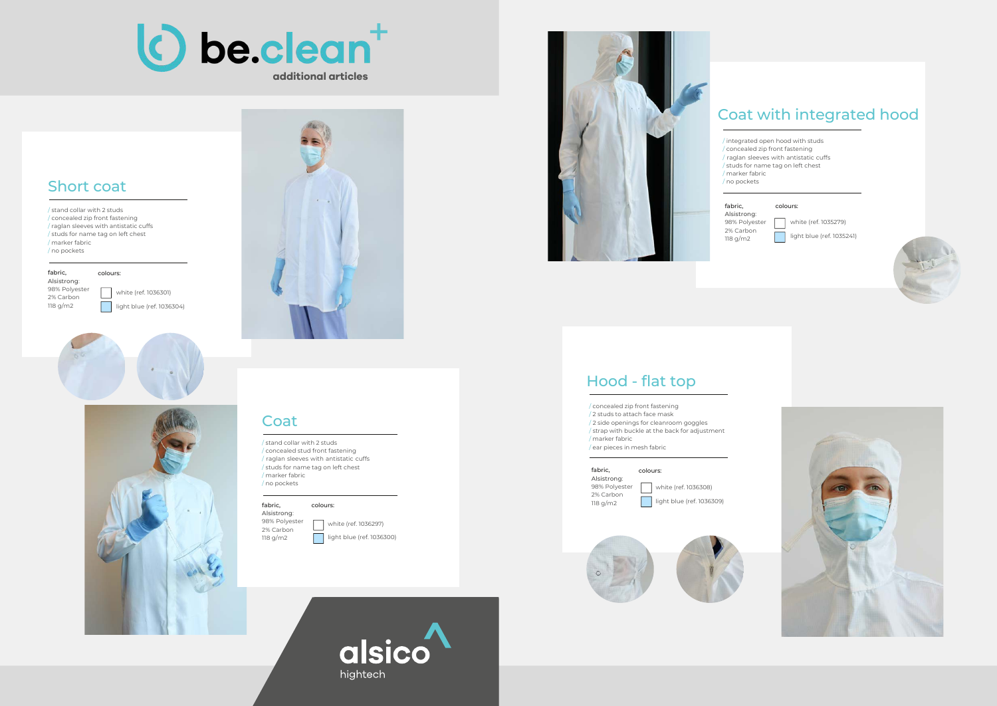## Short coat

#### Coat

## Hood - flat top

/ stand collar with 2 studs / concealed zip front fastening / raglan sleeves with antistatic cuffs / studs for name tag on left chest / marker fabric / no pockets

fabric, Alsistrong: 98% Polyester 2% Carbon 118 g/m2

White (ref. 1036301) | light blue (ref. 1036304)







colours:

/ stand collar with 2 studs / concealed stud front fastening / raglan sleeves with antistatic cuffs / studs for name tag on left chest / marker fabric / no pockets

white (ref. 1035279) light blue (ref. 1035241)





Alsistrong: 98% Polyester 2% Carbon 118 g/m2

#### fabric, colours:

White (ref. 1036297) **light blue (ref. 1036300)** 



## Coat with integrated hood



/ integrated open hood with studs / concealed zip front fastening / raglan sleeves with antistatic cuffs / studs for name tag on left chest

/ marker fabric / no pockets

fabric, Alsistrong: 98% Polyester 2% Carbon 118 g/m2

#### colours:

/ concealed zip front fastening / 2 studs to attach face mask / 2 side openings for cleanroom goggles / strap with buckle at the back for adjustment / marker fabric / ear pieces in mesh fabric

#### fabric,

Alsistrong: 98% Polyester 2% Carbon 118 g/m2

White (ref. 1036308) **light blue (ref. 1036309)** 



colours: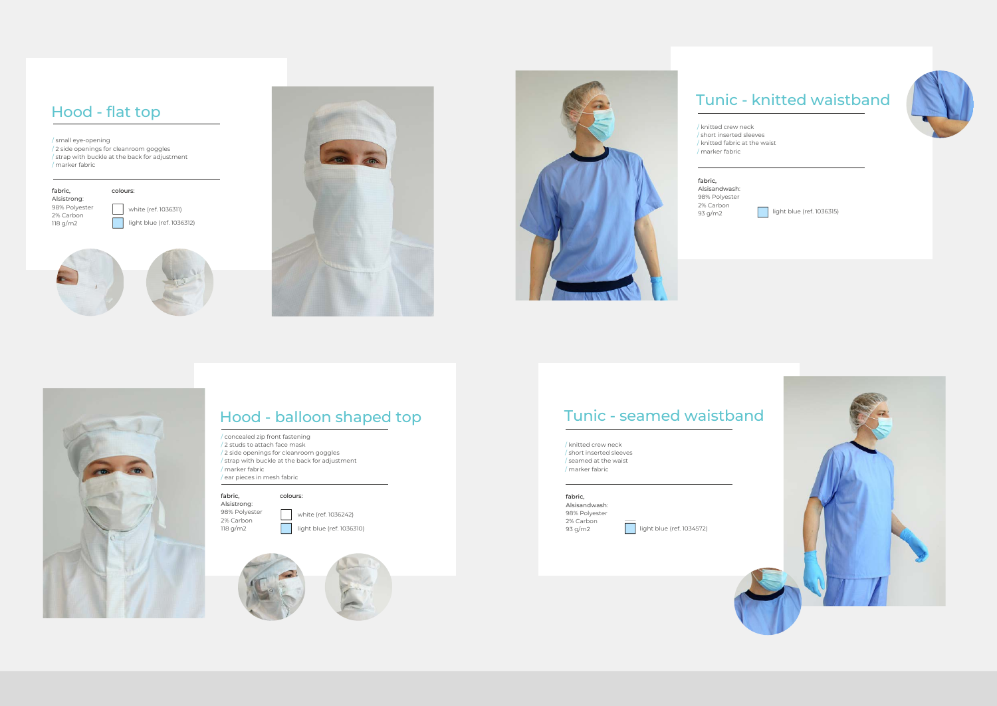## Hood - flat top

## Hood - balloon shaped top

/ small eye-opening / 2 side openings for cleanroom goggles / strap with buckle at the back for adjustment / marker fabric

| fabric,     |  |
|-------------|--|
| Alsistrong: |  |
| - - - - - - |  |

/ concealed zip front fastening / 2 studs to attach face mask / 2 side openings for cleanroom goggles / strap with buckle at the back for adjustment / marker fabric / ear pieces in mesh fabric

fabric, Alsistrong: 98% Polyester 2% Carbon 118 g/m2

| | white (ref. 1036311) **light blue (ref. 1036312)** 







98% Polyester 2% Carbon 118 g/m2

colours:

colours:





# Tunic - knitted waistband

/ knitted crew neck / short inserted sleeves / knitted fabric at the waist / marker fabric

fabric, Alsisandwash: 98% Polyester 2% Carbon 93 g/m2

## Tunic - seamed waistband

/ knitted crew neck / short inserted sleeves / seamed at the waist / marker fabric

#### fabric,

Alsisandwash: 98% Polyester 2% Carbon 93 g/m2

**ight blue (ref. 1034572)** 



**light blue (ref. 1036315)**